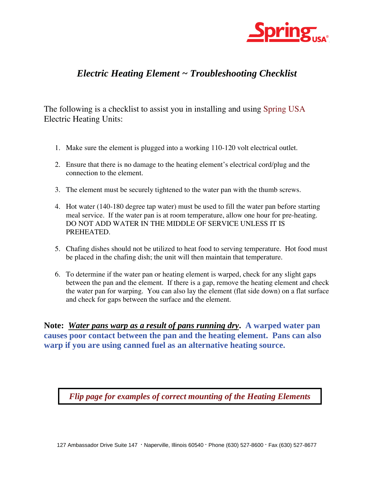

## *Electric Heating Element ~ Troubleshooting Checklist*

The following is a checklist to assist you in installing and using Spring USA Electric Heating Units:

- 1. Make sure the element is plugged into a working 110-120 volt electrical outlet.
- 2. Ensure that there is no damage to the heating element's electrical cord/plug and the connection to the element.
- 3. The element must be securely tightened to the water pan with the thumb screws.
- 4. Hot water (140-180 degree tap water) must be used to fill the water pan before starting meal service. If the water pan is at room temperature, allow one hour for pre-heating. DO NOT ADD WATER IN THE MIDDLE OF SERVICE UNLESS IT IS PREHEATED.
- 5. Chafing dishes should not be utilized to heat food to serving temperature. Hot food must be placed in the chafing dish; the unit will then maintain that temperature.
- 6. To determine if the water pan or heating element is warped, check for any slight gaps between the pan and the element. If there is a gap, remove the heating element and check the water pan for warping. You can also lay the element (flat side down) on a flat surface and check for gaps between the surface and the element.

**Note:** *Water pans warp as a result of pans running dry***. A warped water pan causes poor contact between the pan and the heating element. Pans can also warp if you are using canned fuel as an alternative heating source.** 

*Flip page for examples of correct mounting of the Heating Elements*